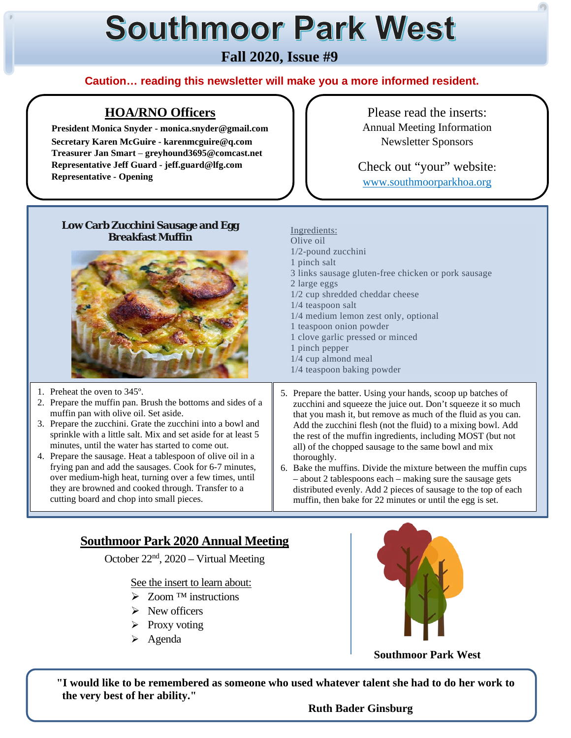# **Southmoor Park West**

# **Fall 2020, Issue #9**

#### **Caution… reading this newsletter will make you a more informed resident.**

Ingredients: Olive oil

2 large eggs

1/2-pound zucchini 1 pinch salt

1/4 teaspoon salt

1 pinch pepper 1/4 cup almond meal 1/4 teaspoon baking powder

1 teaspoon onion powder 1 clove garlic pressed or minced

1/2 cup shredded cheddar cheese

1/4 medium lemon zest only, optional

#### **HOA/RNO Officers**

 **President Monica Snyder - monica.snyder@gmail.com Secretary Karen McGuire - karenmcguire@q.com Treasurer Jan Smart** – **greyhound3695@comcast.net Representative Jeff Guard - jeff.guard@lfg.com Representative - Opening**

Please read the inserts: Annual Meeting Information Newsletter Sponsors

Check out "your" website: www.southmoorparkhoa.org

#### **Low Carb Zucchini Sausage and Egg Breakfast Muffin**



1. Preheat the oven to 345º.

Ī

ſ

I

I

ļ

- 2. Prepare the muffin pan. Brush the bottoms and sides of a muffin pan with olive oil. Set aside.
- 3. Prepare the zucchini. Grate the zucchini into a bowl and sprinkle with a little salt. Mix and set aside for at least 5 minutes, until the water has started to come out.
- 4. Prepare the sausage. Heat a tablespoon of olive oil in a frying pan and add the sausages. Cook for 6-7 minutes, over medium-high heat, turning over a few times, until they are browned and cooked through. Transfer to a cutting board and chop into small pieces.
- 5. Prepare the batter. Using your hands, scoop up batches of zucchini and squeeze the juice out. Don't squeeze it so much that you mash it, but remove as much of the fluid as you can. Add the zucchini flesh (not the fluid) to a mixing bowl. Add the rest of the muffin ingredients, including MOST (but not all) of the chopped sausage to the same bowl and mix thoroughly.

3 links sausage gluten-free chicken or pork sausage

6. Bake the muffins. Divide the mixture between the muffin cups – about 2 tablespoons each – making sure the sausage gets distributed evenly. Add 2 pieces of sausage to the top of each muffin, then bake for 22 minutes or until the egg is set.

# **Southmoor Park 2020 Annual Meeting**

October 22nd, 2020 – Virtual Meeting

See the insert to learn about:

- Zoom ™ instructions
- $\triangleright$  New officers
- $\triangleright$  Proxy voting
- $\triangleright$  Agenda



**Southmoor Park West**

 **"I would like to be remembered as someone who used whatever talent she had to do her work to the very best of her ability."** 

 **Ruth Bader Ginsburg**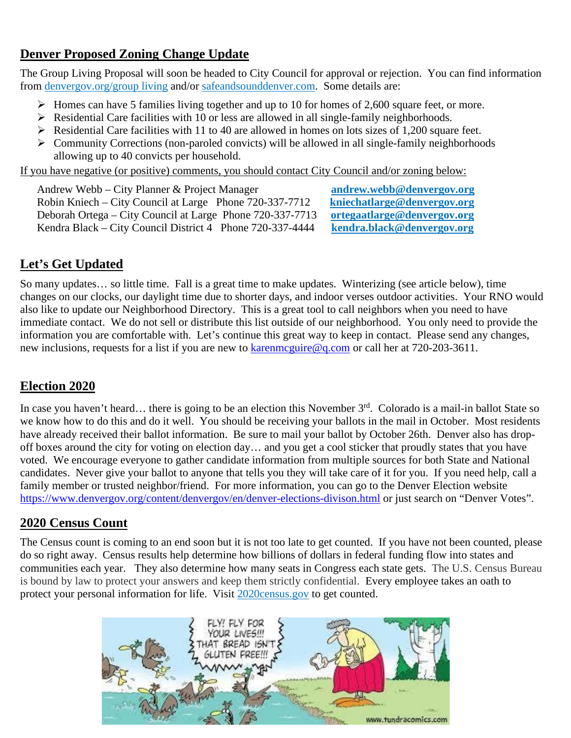## **Denver Proposed Zoning Change Update**

The Group Living Proposal will soon be headed to City Council for approval or rejection. You can find information from denvergov.org/group living and/or safeandsounddenver.com. Some details are:

- $\triangleright$  Homes can have 5 families living together and up to 10 for homes of 2,600 square feet, or more.
- $\triangleright$  Residential Care facilities with 10 or less are allowed in all single-family neighborhoods.
- Residential Care facilities with 11 to 40 are allowed in homes on lots sizes of 1,200 square feet.
- $\triangleright$  Community Corrections (non-paroled convicts) will be allowed in all single-family neighborhoods allowing up to 40 convicts per household.

If you have negative (or positive) comments, you should contact City Council and/or zoning below:

Andrew Webb – City Planner & Project Manager<br>Robin Kniech – City Council at Large Phone 720-337-7712 **kniechatlarge@denvergov.org** Robin Kniech – City Council at Large Phone 720-337-7712 **[kniechatlarge@denvergov.org](mailto:kniechatlarge@denvergov.org)**<br>Deborah Ortega – City Council at Large Phone 720-337-7713 ortegaatlarge@denvergov.org Deborah Ortega – City Council at Large Phone 720-337-7713 **[ortegaatlarge@denvergov.org](mailto:ortegaatlarge@denvergov.org)** Kendra Black – City Council District 4 Phone 720-337-4444

# **Let's Get Updated**

So many updates… so little time. Fall is a great time to make updates. Winterizing (see article below), time changes on our clocks, our daylight time due to shorter days, and indoor verses outdoor activities. Your RNO would also like to update our Neighborhood Directory. This is a great tool to call neighbors when you need to have immediate contact. We do not sell or distribute this list outside of our neighborhood. You only need to provide the information you are comfortable with. Let's continue this great way to keep in contact. Please send any changes, new inclusions, requests for a list if you are new to karenmeguire@q.com or call her at 720-203-3611.

# **Election 2020**

In case you haven't heard... there is going to be an election this November  $3<sup>rd</sup>$ . Colorado is a mail-in ballot State so we know how to do this and do it well. You should be receiving your ballots in the mail in October. Most residents have already received their ballot information. Be sure to mail your ballot by October 26th. Denver also has dropoff boxes around the city for voting on election day… and you get a cool sticker that proudly states that you have voted. We encourage everyone to gather candidate information from multiple sources for both State and National candidates. Never give your ballot to anyone that tells you they will take care of it for you. If you need help, call a family member or trusted neighbor/friend. For more information, you can go to the Denver Election website <https://www.denvergov.org/content/denvergov/en/denver-elections-divison.html> or just search on "Denver Votes".

#### **2020 Census Count**

The Census count is coming to an end soon but it is not too late to get counted. If you have not been counted, please do so right away. Census results help determine how billions of dollars in federal funding flow into states and communities each year. They also determine how many seats in Congress each state gets. The U.S. Census Bureau is bound by law to protect your answers and keep them strictly confidential. Every employee takes an oath to protect your personal information for life. Visit 2020census.gov to get counted.

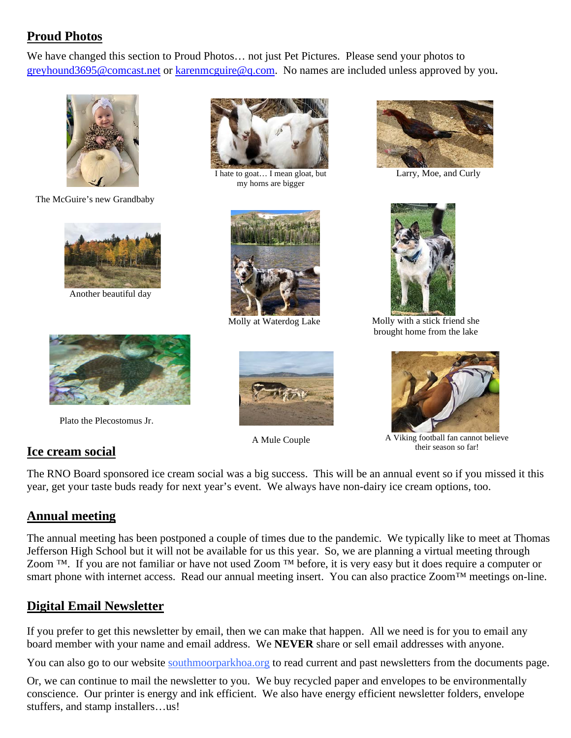# **Proud Photos**

We have changed this section to Proud Photos… not just Pet Pictures. Please send your photos to [greyhound3695@comcast.net](mailto:greyhound3695@comcast.net) or karenmcguire@q.com. No names are included unless approved by you.



The McGuire's new Grandbaby



Another beautiful day



Plato the Plecostomus Jr.

# **Ice cream social**



I hate to goat... I mean gloat, but Larry, Moe, and Curly my horns are bigger



Molly at Waterdog Lake



A Mule Couple





 Molly with a stick friend she brought home from the lake



A Viking football fan cannot believe their season so far!

The RNO Board sponsored ice cream social was a big success. This will be an annual event so if you missed it this year, get your taste buds ready for next year's event. We always have non-dairy ice cream options, too.

#### **Annual meeting**

The annual meeting has been postponed a couple of times due to the pandemic. We typically like to meet at Thomas Jefferson High School but it will not be available for us this year. So, we are planning a virtual meeting through Zoom ™. If you are not familiar or have not used Zoom ™ before, it is very easy but it does require a computer or smart phone with internet access. Read our annual meeting insert. You can also practice Zoom™ meetings on-line.

# **Digital Email Newsletter**

If you prefer to get this newsletter by email, then we can make that happen. All we need is for you to email any board member with your name and email address. We **NEVER** share or sell email addresses with anyone.

You can also go to our website southmoorparkhoa.org to read current and past newsletters from the documents page.

Or, we can continue to mail the newsletter to you. We buy recycled paper and envelopes to be environmentally conscience. Our printer is energy and ink efficient. We also have energy efficient newsletter folders, envelope stuffers, and stamp installers…us!